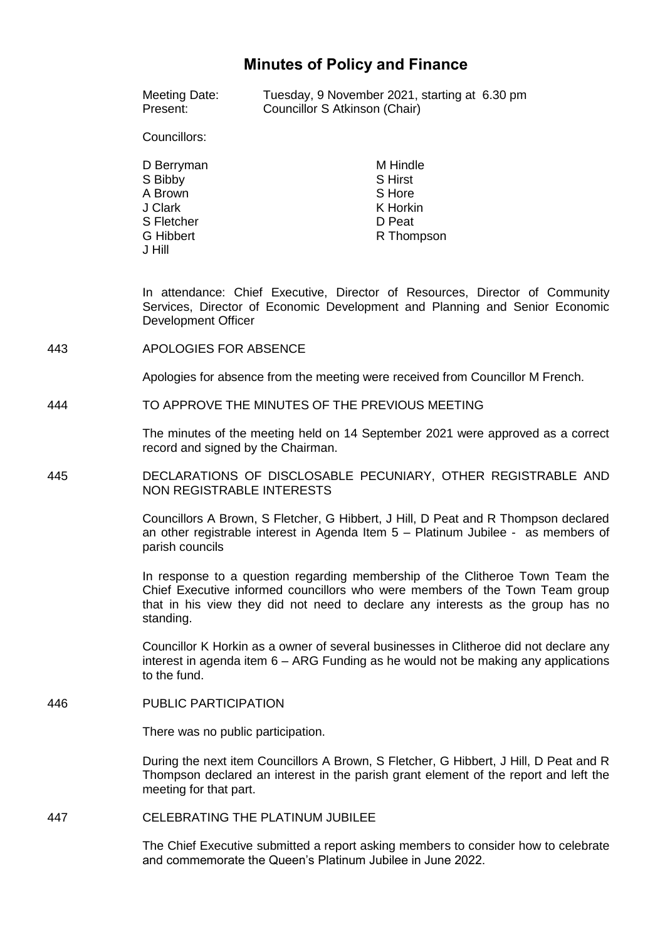# **Minutes of Policy and Finance**

| Meeting Date: | Tuesday, 9 November 2021, starting at 6.30 pm |  |
|---------------|-----------------------------------------------|--|
| Present:      | Councillor S Atkinson (Chair)                 |  |

Councillors:

| D Berryman       | M Hindle       |
|------------------|----------------|
| S Bibby          | <b>S</b> Hirst |
| A Brown          | S Hore         |
| J Clark          | K Horkin       |
| S Fletcher       | D Peat         |
| <b>G</b> Hibbert | R Thompson     |
| J Hill           |                |

In attendance: Chief Executive, Director of Resources, Director of Community Services, Director of Economic Development and Planning and Senior Economic Development Officer

443 APOLOGIES FOR ABSENCE

Apologies for absence from the meeting were received from Councillor M French.

444 TO APPROVE THE MINUTES OF THE PREVIOUS MEETING

The minutes of the meeting held on 14 September 2021 were approved as a correct record and signed by the Chairman.

445 DECLARATIONS OF DISCLOSABLE PECUNIARY, OTHER REGISTRABLE AND NON REGISTRABLE INTERESTS

> Councillors A Brown, S Fletcher, G Hibbert, J Hill, D Peat and R Thompson declared an other registrable interest in Agenda Item 5 – Platinum Jubilee - as members of parish councils

> In response to a question regarding membership of the Clitheroe Town Team the Chief Executive informed councillors who were members of the Town Team group that in his view they did not need to declare any interests as the group has no standing.

> Councillor K Horkin as a owner of several businesses in Clitheroe did not declare any interest in agenda item 6 – ARG Funding as he would not be making any applications to the fund.

446 PUBLIC PARTICIPATION

There was no public participation.

During the next item Councillors A Brown, S Fletcher, G Hibbert, J Hill, D Peat and R Thompson declared an interest in the parish grant element of the report and left the meeting for that part.

447 CELEBRATING THE PLATINUM JUBILEE

The Chief Executive submitted a report asking members to consider how to celebrate and commemorate the Queen's Platinum Jubilee in June 2022.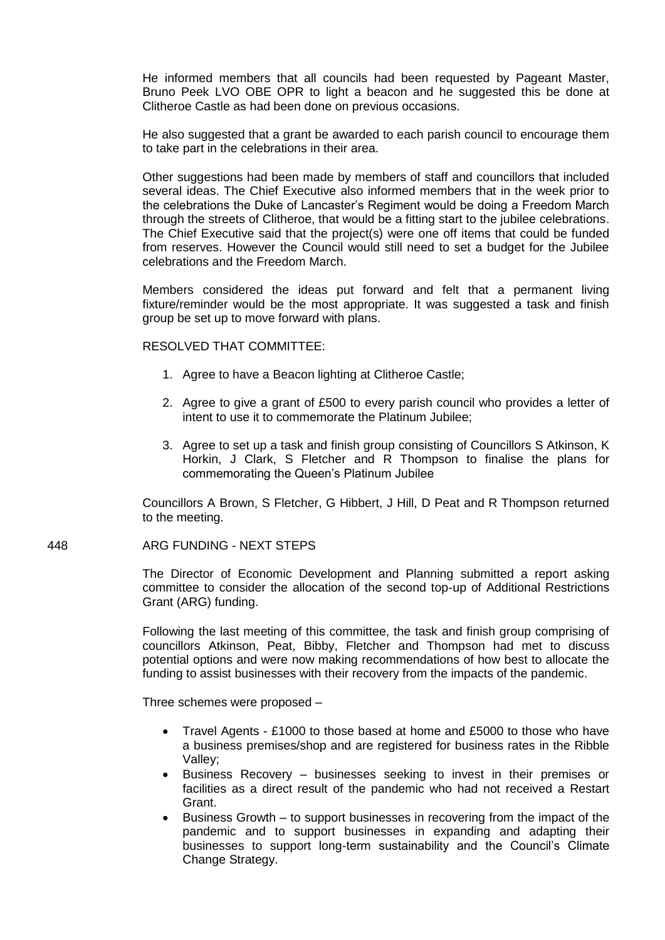He informed members that all councils had been requested by Pageant Master, Bruno Peek LVO OBE OPR to light a beacon and he suggested this be done at Clitheroe Castle as had been done on previous occasions.

He also suggested that a grant be awarded to each parish council to encourage them to take part in the celebrations in their area.

Other suggestions had been made by members of staff and councillors that included several ideas. The Chief Executive also informed members that in the week prior to the celebrations the Duke of Lancaster's Regiment would be doing a Freedom March through the streets of Clitheroe, that would be a fitting start to the jubilee celebrations. The Chief Executive said that the project(s) were one off items that could be funded from reserves. However the Council would still need to set a budget for the Jubilee celebrations and the Freedom March.

Members considered the ideas put forward and felt that a permanent living fixture/reminder would be the most appropriate. It was suggested a task and finish group be set up to move forward with plans.

#### RESOLVED THAT COMMITTEE:

- 1. Agree to have a Beacon lighting at Clitheroe Castle;
- 2. Agree to give a grant of £500 to every parish council who provides a letter of intent to use it to commemorate the Platinum Jubilee;
- 3. Agree to set up a task and finish group consisting of Councillors S Atkinson, K Horkin, J Clark, S Fletcher and R Thompson to finalise the plans for commemorating the Queen's Platinum Jubilee

Councillors A Brown, S Fletcher, G Hibbert, J Hill, D Peat and R Thompson returned to the meeting.

### 448 ARG FUNDING - NEXT STEPS

The Director of Economic Development and Planning submitted a report asking committee to consider the allocation of the second top-up of Additional Restrictions Grant (ARG) funding.

Following the last meeting of this committee, the task and finish group comprising of councillors Atkinson, Peat, Bibby, Fletcher and Thompson had met to discuss potential options and were now making recommendations of how best to allocate the funding to assist businesses with their recovery from the impacts of the pandemic.

Three schemes were proposed –

- Travel Agents £1000 to those based at home and £5000 to those who have a business premises/shop and are registered for business rates in the Ribble Valley;
- Business Recovery businesses seeking to invest in their premises or facilities as a direct result of the pandemic who had not received a Restart Grant.
- Business Growth to support businesses in recovering from the impact of the pandemic and to support businesses in expanding and adapting their businesses to support long-term sustainability and the Council's Climate Change Strategy.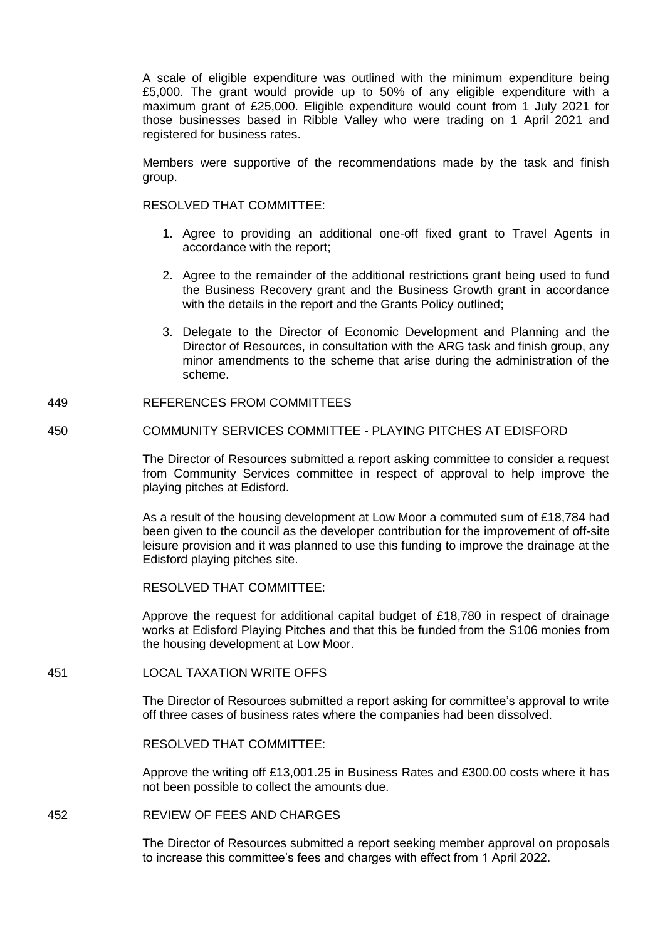A scale of eligible expenditure was outlined with the minimum expenditure being £5,000. The grant would provide up to 50% of any eligible expenditure with a maximum grant of £25,000. Eligible expenditure would count from 1 July 2021 for those businesses based in Ribble Valley who were trading on 1 April 2021 and registered for business rates.

Members were supportive of the recommendations made by the task and finish group.

RESOLVED THAT COMMITTEE:

- 1. Agree to providing an additional one-off fixed grant to Travel Agents in accordance with the report;
- 2. Agree to the remainder of the additional restrictions grant being used to fund the Business Recovery grant and the Business Growth grant in accordance with the details in the report and the Grants Policy outlined;
- 3. Delegate to the Director of Economic Development and Planning and the Director of Resources, in consultation with the ARG task and finish group, any minor amendments to the scheme that arise during the administration of the scheme.
- 449 REFERENCES FROM COMMITTEES
- 450 COMMUNITY SERVICES COMMITTEE PLAYING PITCHES AT EDISFORD

The Director of Resources submitted a report asking committee to consider a request from Community Services committee in respect of approval to help improve the playing pitches at Edisford.

As a result of the housing development at Low Moor a commuted sum of £18,784 had been given to the council as the developer contribution for the improvement of off-site leisure provision and it was planned to use this funding to improve the drainage at the Edisford playing pitches site.

RESOLVED THAT COMMITTEE:

Approve the request for additional capital budget of £18,780 in respect of drainage works at Edisford Playing Pitches and that this be funded from the S106 monies from the housing development at Low Moor.

451 LOCAL TAXATION WRITE OFFS

The Director of Resources submitted a report asking for committee's approval to write off three cases of business rates where the companies had been dissolved.

RESOLVED THAT COMMITTEE:

Approve the writing off £13,001.25 in Business Rates and £300.00 costs where it has not been possible to collect the amounts due.

452 REVIEW OF FEES AND CHARGES

The Director of Resources submitted a report seeking member approval on proposals to increase this committee's fees and charges with effect from 1 April 2022.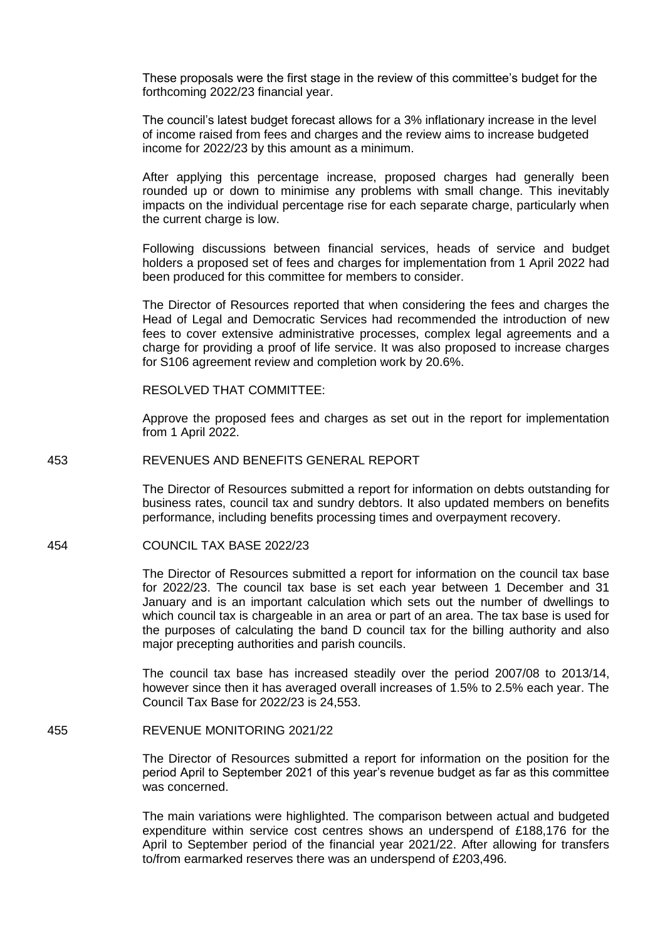These proposals were the first stage in the review of this committee's budget for the forthcoming 2022/23 financial year.

The council's latest budget forecast allows for a 3% inflationary increase in the level of income raised from fees and charges and the review aims to increase budgeted income for 2022/23 by this amount as a minimum.

After applying this percentage increase, proposed charges had generally been rounded up or down to minimise any problems with small change. This inevitably impacts on the individual percentage rise for each separate charge, particularly when the current charge is low.

Following discussions between financial services, heads of service and budget holders a proposed set of fees and charges for implementation from 1 April 2022 had been produced for this committee for members to consider.

The Director of Resources reported that when considering the fees and charges the Head of Legal and Democratic Services had recommended the introduction of new fees to cover extensive administrative processes, complex legal agreements and a charge for providing a proof of life service. It was also proposed to increase charges for S106 agreement review and completion work by 20.6%.

RESOLVED THAT COMMITTEE:

Approve the proposed fees and charges as set out in the report for implementation from 1 April 2022.

## 453 REVENUES AND BENEFITS GENERAL REPORT

The Director of Resources submitted a report for information on debts outstanding for business rates, council tax and sundry debtors. It also updated members on benefits performance, including benefits processing times and overpayment recovery.

#### 454 COUNCIL TAX BASE 2022/23

The Director of Resources submitted a report for information on the council tax base for 2022/23. The council tax base is set each year between 1 December and 31 January and is an important calculation which sets out the number of dwellings to which council tax is chargeable in an area or part of an area. The tax base is used for the purposes of calculating the band D council tax for the billing authority and also major precepting authorities and parish councils.

The council tax base has increased steadily over the period 2007/08 to 2013/14, however since then it has averaged overall increases of 1.5% to 2.5% each year. The Council Tax Base for 2022/23 is 24,553.

### 455 REVENUE MONITORING 2021/22

The Director of Resources submitted a report for information on the position for the period April to September 2021 of this year's revenue budget as far as this committee was concerned.

The main variations were highlighted. The comparison between actual and budgeted expenditure within service cost centres shows an underspend of £188,176 for the April to September period of the financial year 2021/22. After allowing for transfers to/from earmarked reserves there was an underspend of £203,496.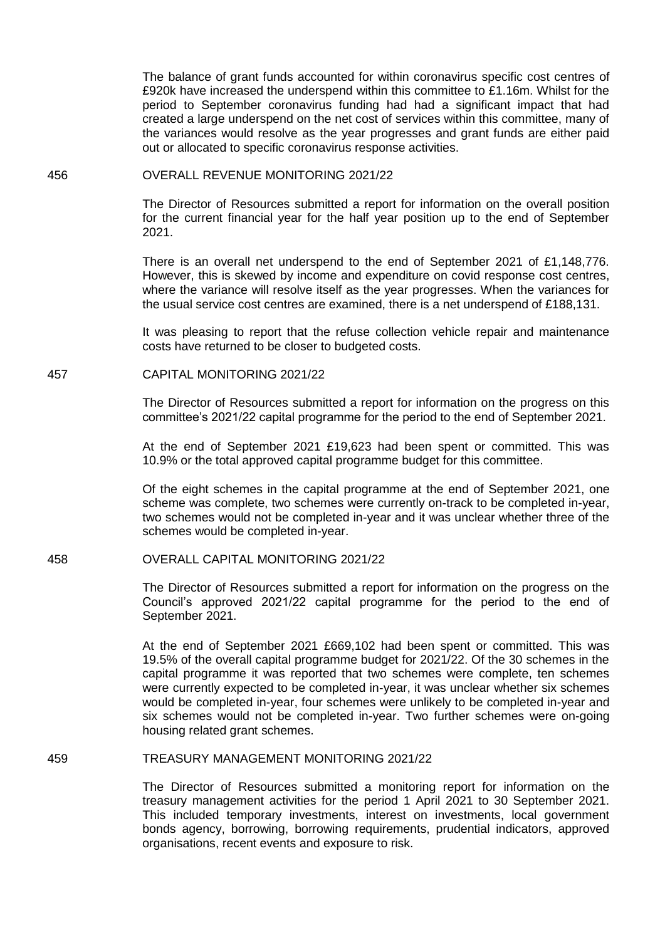The balance of grant funds accounted for within coronavirus specific cost centres of £920k have increased the underspend within this committee to £1.16m. Whilst for the period to September coronavirus funding had had a significant impact that had created a large underspend on the net cost of services within this committee, many of the variances would resolve as the year progresses and grant funds are either paid out or allocated to specific coronavirus response activities.

#### 456 OVERALL REVENUE MONITORING 2021/22

The Director of Resources submitted a report for information on the overall position for the current financial year for the half year position up to the end of September 2021.

There is an overall net underspend to the end of September 2021 of £1,148,776. However, this is skewed by income and expenditure on covid response cost centres, where the variance will resolve itself as the year progresses. When the variances for the usual service cost centres are examined, there is a net underspend of £188,131.

It was pleasing to report that the refuse collection vehicle repair and maintenance costs have returned to be closer to budgeted costs.

### 457 CAPITAL MONITORING 2021/22

The Director of Resources submitted a report for information on the progress on this committee's 2021/22 capital programme for the period to the end of September 2021.

At the end of September 2021 £19,623 had been spent or committed. This was 10.9% or the total approved capital programme budget for this committee.

Of the eight schemes in the capital programme at the end of September 2021, one scheme was complete, two schemes were currently on-track to be completed in-year, two schemes would not be completed in-year and it was unclear whether three of the schemes would be completed in-year.

## 458 OVERALL CAPITAL MONITORING 2021/22

The Director of Resources submitted a report for information on the progress on the Council's approved 2021/22 capital programme for the period to the end of September 2021.

At the end of September 2021 £669,102 had been spent or committed. This was 19.5% of the overall capital programme budget for 2021/22. Of the 30 schemes in the capital programme it was reported that two schemes were complete, ten schemes were currently expected to be completed in-year, it was unclear whether six schemes would be completed in-year, four schemes were unlikely to be completed in-year and six schemes would not be completed in-year. Two further schemes were on-going housing related grant schemes.

# 459 TREASURY MANAGEMENT MONITORING 2021/22

The Director of Resources submitted a monitoring report for information on the treasury management activities for the period 1 April 2021 to 30 September 2021. This included temporary investments, interest on investments, local government bonds agency, borrowing, borrowing requirements, prudential indicators, approved organisations, recent events and exposure to risk.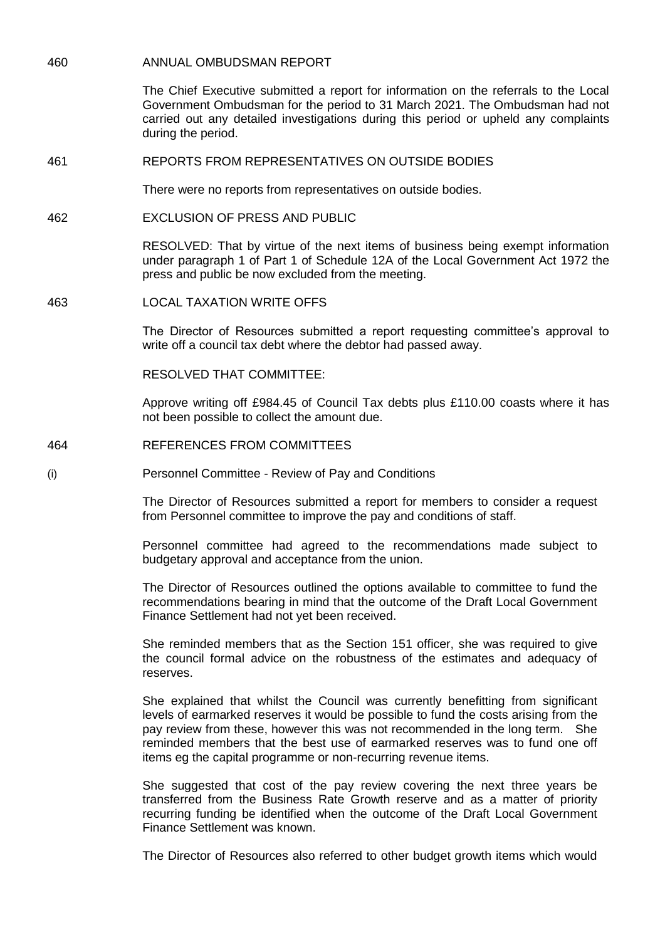460 ANNUAL OMBUDSMAN REPORT

The Chief Executive submitted a report for information on the referrals to the Local Government Ombudsman for the period to 31 March 2021. The Ombudsman had not carried out any detailed investigations during this period or upheld any complaints during the period.

461 REPORTS FROM REPRESENTATIVES ON OUTSIDE BODIES

There were no reports from representatives on outside bodies.

462 EXCLUSION OF PRESS AND PUBLIC

RESOLVED: That by virtue of the next items of business being exempt information under paragraph 1 of Part 1 of Schedule 12A of the Local Government Act 1972 the press and public be now excluded from the meeting.

463 LOCAL TAXATION WRITE OFFS

The Director of Resources submitted a report requesting committee's approval to write off a council tax debt where the debtor had passed away.

RESOLVED THAT COMMITTEE:

Approve writing off £984.45 of Council Tax debts plus £110.00 coasts where it has not been possible to collect the amount due.

- 464 REFERENCES FROM COMMITTEES
- (i) Personnel Committee Review of Pay and Conditions

The Director of Resources submitted a report for members to consider a request from Personnel committee to improve the pay and conditions of staff.

Personnel committee had agreed to the recommendations made subject to budgetary approval and acceptance from the union.

The Director of Resources outlined the options available to committee to fund the recommendations bearing in mind that the outcome of the Draft Local Government Finance Settlement had not yet been received.

She reminded members that as the Section 151 officer, she was required to give the council formal advice on the robustness of the estimates and adequacy of reserves.

She explained that whilst the Council was currently benefitting from significant levels of earmarked reserves it would be possible to fund the costs arising from the pay review from these, however this was not recommended in the long term. She reminded members that the best use of earmarked reserves was to fund one off items eg the capital programme or non-recurring revenue items.

She suggested that cost of the pay review covering the next three years be transferred from the Business Rate Growth reserve and as a matter of priority recurring funding be identified when the outcome of the Draft Local Government Finance Settlement was known.

The Director of Resources also referred to other budget growth items which would